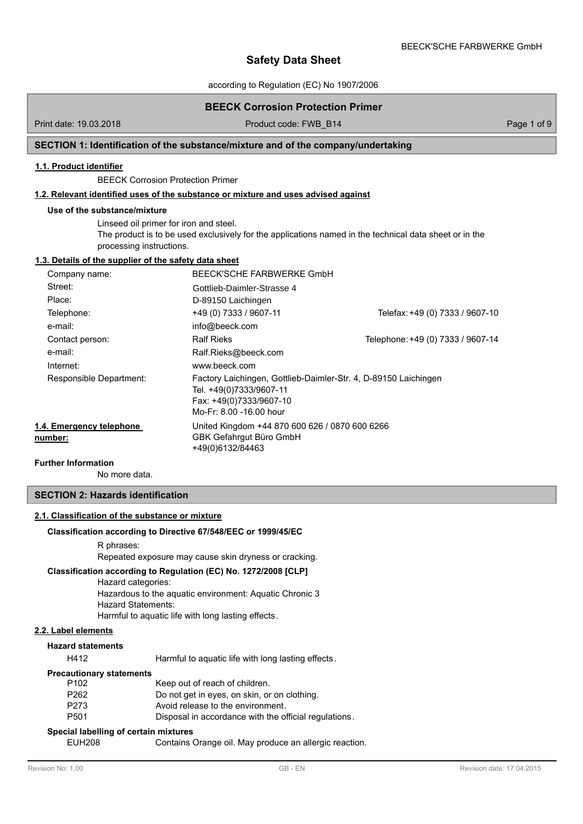BEECK'SCHE FARBWERKE GmbH

according to Regulation (EC) No 1907/2006

# **BEECK Corrosion Protection Primer**

Print date: 19.03.2018 **Product code: FWB\_B14** Page 1 of 9

# **SECTION 1: Identification of the substance/mixture and of the company/undertaking**

# **1.1. Product identifier**

BEECK Corrosion Protection Primer

# **1.2. Relevant identified uses of the substance or mixture and uses advised against**

#### **Use of the substance/mixture**

Linseed oil primer for iron and steel. The product is to be used exclusively for the applications named in the technical data sheet or in the processing instructions.

# **1.3. Details of the supplier of the safety data sheet**

| Company name:                       | BEECK'SCHE FARBWERKE GmbH                                                                                                                        |                                   |
|-------------------------------------|--------------------------------------------------------------------------------------------------------------------------------------------------|-----------------------------------|
| Street:                             | Gottlieb-Daimler-Strasse 4                                                                                                                       |                                   |
| Place:                              | D-89150 Laichingen                                                                                                                               |                                   |
| Telephone:                          | +49 (0) 7333 / 9607-11                                                                                                                           | Telefax: +49 (0) 7333 / 9607-10   |
| e-mail:                             | info@beeck.com                                                                                                                                   |                                   |
| Contact person:                     | <b>Ralf Rieks</b>                                                                                                                                | Telephone: +49 (0) 7333 / 9607-14 |
| e-mail:                             | Ralf.Rieks@beeck.com                                                                                                                             |                                   |
| Internet:                           | www.beeck.com                                                                                                                                    |                                   |
| Responsible Department:             | Factory Laichingen, Gottlieb-Daimler-Str. 4, D-89150 Laichingen<br>Tel. +49(0)7333/9607-11<br>Fax: +49(0)7333/9607-10<br>Mo-Fr: 8.00 -16.00 hour |                                   |
| 1.4. Emergency telephone<br>number: | United Kingdom +44 870 600 626 / 0870 600 6266<br>GBK Gefahrgut Büro GmbH<br>+49(0)6132/84463                                                    |                                   |

### **Further Information**

No more data.

# **SECTION 2: Hazards identification**

# **2.1. Classification of the substance or mixture**

#### **Classification according to Directive 67/548/EEC or 1999/45/EC**

#### R phrases:

Repeated exposure may cause skin dryness or cracking.

# **Classification according to Regulation (EC) No. 1272/2008 [CLP]**

Hazard categories:

Hazardous to the aquatic environment: Aquatic Chronic 3 Hazard Statements: Harmful to aquatic life with long lasting effects.

**2.2. Label elements**

#### **Hazard statements**

H412 Harmful to aquatic life with long lasting effects.

#### **Precautionary statements**

| P <sub>102</sub> | Keep out of reach of children.                        |
|------------------|-------------------------------------------------------|
| P262             | Do not get in eyes, on skin, or on clothing.          |
| P273             | Avoid release to the environment.                     |
| P501             | Disposal in accordance with the official regulations. |

#### **Special labelling of certain mixtures**

EUH208 Contains Orange oil. May produce an allergic reaction.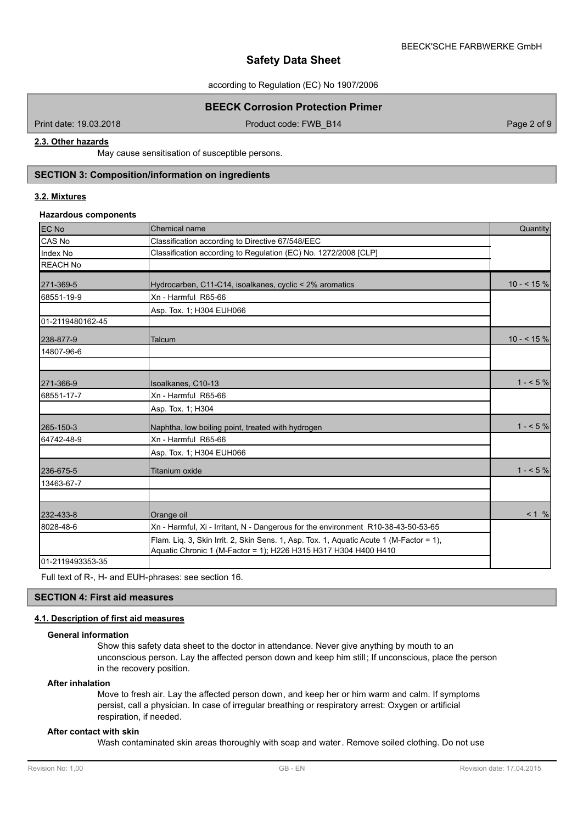according to Regulation (EC) No 1907/2006

# **BEECK Corrosion Protection Primer**

Print date: 19.03.2018 **Product code: FWB\_B14** Product code: FWB\_B14 Page 2 of 9

# **2.3. Other hazards**

May cause sensitisation of susceptible persons.

# **SECTION 3: Composition/information on ingredients**

# **3.2. Mixtures**

#### **Hazardous components**

| <b>EC No</b>     | Chemical name                                                                                                                                              | Quantity   |
|------------------|------------------------------------------------------------------------------------------------------------------------------------------------------------|------------|
| CAS No           | Classification according to Directive 67/548/EEC                                                                                                           |            |
| Index No         | Classification according to Regulation (EC) No. 1272/2008 [CLP]                                                                                            |            |
| <b>REACH No</b>  |                                                                                                                                                            |            |
| 271-369-5        | Hydrocarben, C11-C14, isoalkanes, cyclic < 2% aromatics                                                                                                    | $10 - 5\%$ |
| 68551-19-9       | Xn - Harmful R65-66                                                                                                                                        |            |
|                  | Asp. Tox. 1; H304 EUH066                                                                                                                                   |            |
| 01-2119480162-45 |                                                                                                                                                            |            |
| 238-877-9        | Talcum                                                                                                                                                     | $10 - 5\%$ |
| 14807-96-6       |                                                                                                                                                            |            |
|                  |                                                                                                                                                            | $1 - 5\%$  |
| 271-366-9        | Isoalkanes, C10-13<br>Xn - Harmful R65-66                                                                                                                  |            |
| 68551-17-7       | Asp. Tox. 1; H304                                                                                                                                          |            |
|                  |                                                                                                                                                            |            |
| 265-150-3        | Naphtha, low boiling point, treated with hydrogen                                                                                                          | $1 - 5\%$  |
| 64742-48-9       | Xn - Harmful R65-66                                                                                                                                        |            |
|                  | Asp. Tox. 1; H304 EUH066                                                                                                                                   |            |
| 236-675-5        | <b>Titanium oxide</b>                                                                                                                                      | $1 - 5\%$  |
| 13463-67-7       |                                                                                                                                                            |            |
|                  |                                                                                                                                                            |            |
| 232-433-8        | Orange oil                                                                                                                                                 | < 1 %      |
| 8028-48-6        | Xn - Harmful, Xi - Irritant, N - Dangerous for the environment R10-38-43-50-53-65                                                                          |            |
|                  | Flam. Liq. 3, Skin Irrit. 2, Skin Sens. 1, Asp. Tox. 1, Aquatic Acute 1 (M-Factor = 1),<br>Aquatic Chronic 1 (M-Factor = 1); H226 H315 H317 H304 H400 H410 |            |
| 01-2119493353-35 |                                                                                                                                                            |            |

Full text of R-, H- and EUH-phrases: see section 16.

# **SECTION 4: First aid measures**

# **4.1. Description of first aid measures**

# **General information**

Show this safety data sheet to the doctor in attendance. Never give anything by mouth to an unconscious person. Lay the affected person down and keep him still; If unconscious, place the person in the recovery position.

# **After inhalation**

Move to fresh air. Lay the affected person down, and keep her or him warm and calm. If symptoms persist, call a physician. In case of irregular breathing or respiratory arrest: Oxygen or artificial respiration, if needed.

## **After contact with skin**

Wash contaminated skin areas thoroughly with soap and water. Remove soiled clothing. Do not use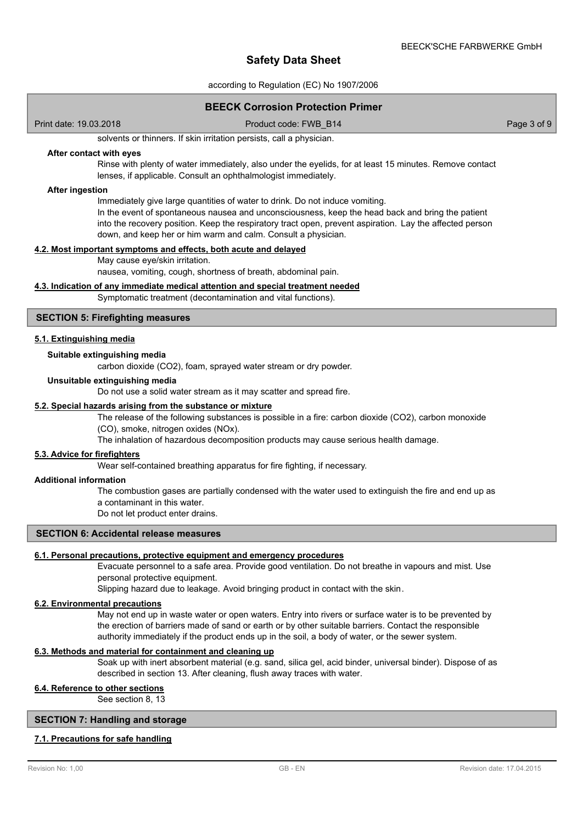according to Regulation (EC) No 1907/2006

# **BEECK Corrosion Protection Primer**

Print date: 19.03.2018 Product code: FWB\_B14 Page 3 of 9

solvents or thinners. If skin irritation persists, call a physician.

#### **After contact with eyes**

Rinse with plenty of water immediately, also under the eyelids, for at least 15 minutes. Remove contact lenses, if applicable. Consult an ophthalmologist immediately.

#### **After ingestion**

Immediately give large quantities of water to drink. Do not induce vomiting. In the event of spontaneous nausea and unconsciousness, keep the head back and bring the patient into the recovery position. Keep the respiratory tract open, prevent aspiration. Lay the affected person down, and keep her or him warm and calm. Consult a physician.

# **4.2. Most important symptoms and effects, both acute and delayed**

May cause eye/skin irritation.

nausea, vomiting, cough, shortness of breath, abdominal pain.

### **4.3. Indication of any immediate medical attention and special treatment needed**

Symptomatic treatment (decontamination and vital functions).

### **SECTION 5: Firefighting measures**

#### **5.1. Extinguishing media**

#### **Suitable extinguishing media**

carbon dioxide (CO2), foam, sprayed water stream or dry powder.

#### **Unsuitable extinguishing media**

Do not use a solid water stream as it may scatter and spread fire.

#### **5.2. Special hazards arising from the substance or mixture**

The release of the following substances is possible in a fire: carbon dioxide (CO2), carbon monoxide (CO), smoke, nitrogen oxides (NOx).

The inhalation of hazardous decomposition products may cause serious health damage.

### **5.3. Advice for firefighters**

Wear self-contained breathing apparatus for fire fighting, if necessary.

#### **Additional information**

The combustion gases are partially condensed with the water used to extinguish the fire and end up as a contaminant in this water.

Do not let product enter drains.

# **SECTION 6: Accidental release measures**

#### **6.1. Personal precautions, protective equipment and emergency procedures**

Evacuate personnel to a safe area. Provide good ventilation. Do not breathe in vapours and mist. Use personal protective equipment.

Slipping hazard due to leakage. Avoid bringing product in contact with the skin.

#### **6.2. Environmental precautions**

May not end up in waste water or open waters. Entry into rivers or surface water is to be prevented by the erection of barriers made of sand or earth or by other suitable barriers. Contact the responsible authority immediately if the product ends up in the soil, a body of water, or the sewer system.

# **6.3. Methods and material for containment and cleaning up**

Soak up with inert absorbent material (e.g. sand, silica gel, acid binder, universal binder). Dispose of as described in section 13. After cleaning, flush away traces with water.

# **6.4. Reference to other sections**

See section 8, 13

# **SECTION 7: Handling and storage**

## **7.1. Precautions for safe handling**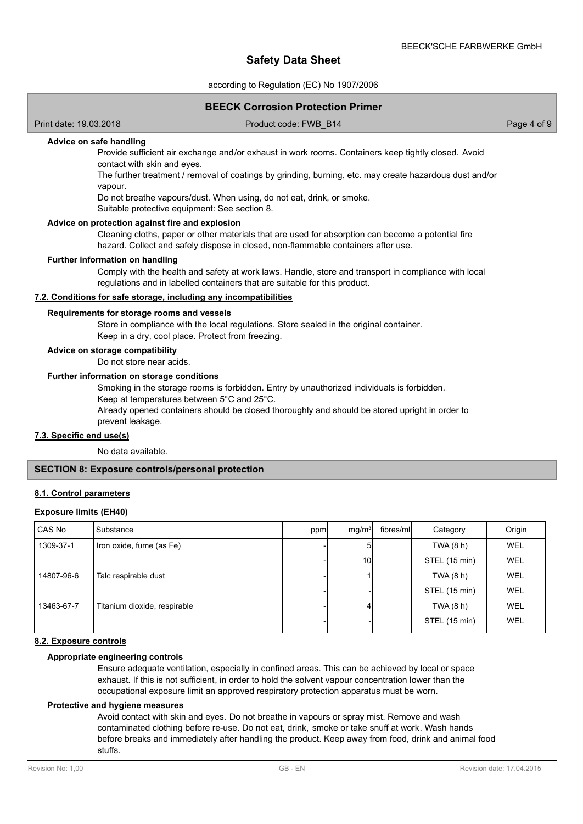according to Regulation (EC) No 1907/2006

## **BEECK Corrosion Protection Primer**

Print date: 19.03.2018 Product code: FWB\_B14 Page 4 of 9

# **Advice on safe handling**

Provide sufficient air exchange and/or exhaust in work rooms. Containers keep tightly closed. Avoid contact with skin and eyes.

The further treatment / removal of coatings by grinding, burning, etc. may create hazardous dust and/or vapour.

Do not breathe vapours/dust. When using, do not eat, drink, or smoke.

Suitable protective equipment: See section 8.

#### **Advice on protection against fire and explosion**

Cleaning cloths, paper or other materials that are used for absorption can become a potential fire hazard. Collect and safely dispose in closed, non-flammable containers after use.

#### **Further information on handling**

Comply with the health and safety at work laws. Handle, store and transport in compliance with local regulations and in labelled containers that are suitable for this product.

#### **7.2. Conditions for safe storage, including any incompatibilities**

#### **Requirements for storage rooms and vessels**

Store in compliance with the local regulations. Store sealed in the original container. Keep in a dry, cool place. Protect from freezing.

#### **Advice on storage compatibility**

Do not store near acids.

#### **Further information on storage conditions**

Smoking in the storage rooms is forbidden. Entry by unauthorized individuals is forbidden. Keep at temperatures between 5°C and 25°C.

Already opened containers should be closed thoroughly and should be stored upright in order to prevent leakage.

#### **7.3. Specific end use(s)**

No data available.

## **SECTION 8: Exposure controls/personal protection**

### **8.1. Control parameters**

## **Exposure limits (EH40)**

| CAS No     | Substance                    | ppm | mg/m <sup>3</sup> | fibres/ml | Category      | Origin     |
|------------|------------------------------|-----|-------------------|-----------|---------------|------------|
| 1309-37-1  | Iron oxide, fume (as Fe)     |     |                   |           | TWA (8 h)     | <b>WEL</b> |
|            |                              |     | 10I               |           | STEL (15 min) | <b>WEL</b> |
| 14807-96-6 | Talc respirable dust         |     |                   |           | TWA (8 h)     | <b>WEL</b> |
|            |                              |     |                   |           | STEL (15 min) | WEL        |
| 13463-67-7 | Titanium dioxide, respirable |     |                   |           | TWA (8 h)     | WEL        |
|            |                              |     |                   |           | STEL (15 min) | <b>WEL</b> |

# **8.2. Exposure controls**

#### **Appropriate engineering controls**

Ensure adequate ventilation, especially in confined areas. This can be achieved by local or space exhaust. If this is not sufficient, in order to hold the solvent vapour concentration lower than the occupational exposure limit an approved respiratory protection apparatus must be worn.

#### **Protective and hygiene measures**

Avoid contact with skin and eyes. Do not breathe in vapours or spray mist. Remove and wash contaminated clothing before re-use. Do not eat, drink, smoke or take snuff at work. Wash hands before breaks and immediately after handling the product. Keep away from food, drink and animal food stuffs.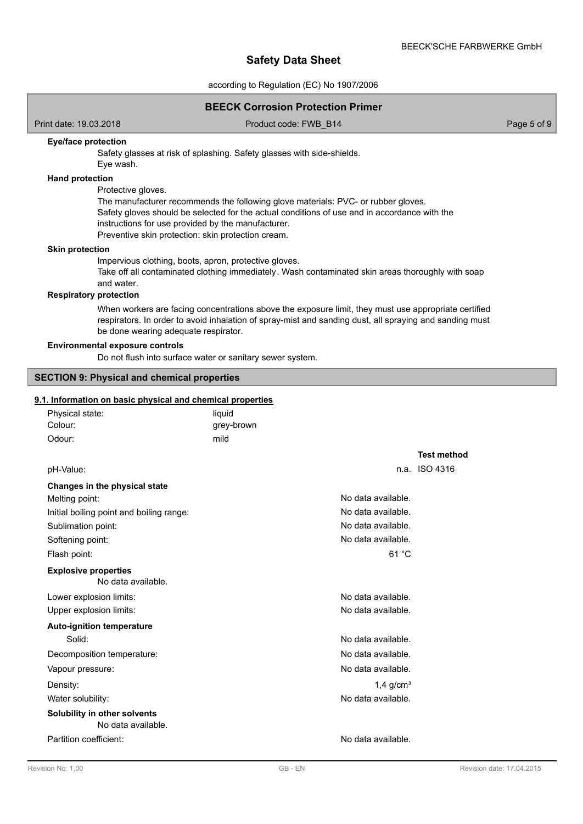according to Regulation (EC) No 1907/2006

## **BEECK Corrosion Protection Primer**

Print date: 19.03.2018 **Product code: FWB\_B14** Product code: FWB\_B14 Page 5 of 9

### **Eye/face protection**

Safety glasses at risk of splashing. Safety glasses with side-shields. Eye wash.

#### **Hand protection**

Protective gloves.

The manufacturer recommends the following glove materials: PVC- or rubber gloves. Safety gloves should be selected for the actual conditions of use and in accordance with the instructions for use provided by the manufacturer. Preventive skin protection: skin protection cream.

#### **Skin protection**

Impervious clothing, boots, apron, protective gloves.

Take off all contaminated clothing immediately. Wash contaminated skin areas thoroughly with soap and water.

# **Respiratory protection**

When workers are facing concentrations above the exposure limit, they must use appropriate certified respirators. In order to avoid inhalation of spray-mist and sanding dust, all spraying and sanding must be done wearing adequate respirator.

#### **Environmental exposure controls**

Do not flush into surface water or sanitary sewer system.

# **SECTION 9: Physical and chemical properties**

# **9.1. Information on basic physical and chemical properties**

| Physical state:                                    | liquid     |                         |                    |
|----------------------------------------------------|------------|-------------------------|--------------------|
| Colour:                                            | grey-brown |                         |                    |
| Odour:                                             | mild       |                         |                    |
|                                                    |            |                         | <b>Test method</b> |
| pH-Value:                                          |            |                         | n.a. ISO 4316      |
| Changes in the physical state                      |            |                         |                    |
| Melting point:                                     |            | No data available.      |                    |
| Initial boiling point and boiling range:           |            | No data available.      |                    |
| Sublimation point:                                 |            | No data available.      |                    |
| Softening point:                                   |            | No data available.      |                    |
| Flash point:                                       |            | 61 °C                   |                    |
| <b>Explosive properties</b><br>No data available.  |            |                         |                    |
| Lower explosion limits:                            |            | No data available.      |                    |
| Upper explosion limits:                            |            | No data available.      |                    |
| <b>Auto-ignition temperature</b>                   |            |                         |                    |
| Solid:                                             |            | No data available.      |                    |
| Decomposition temperature:                         |            | No data available.      |                    |
| Vapour pressure:                                   |            | No data available.      |                    |
| Density:                                           |            | $1,4$ g/cm <sup>3</sup> |                    |
| Water solubility:                                  |            | No data available.      |                    |
| Solubility in other solvents<br>No data available. |            |                         |                    |
| Partition coefficient:                             |            | No data available.      |                    |
|                                                    |            |                         |                    |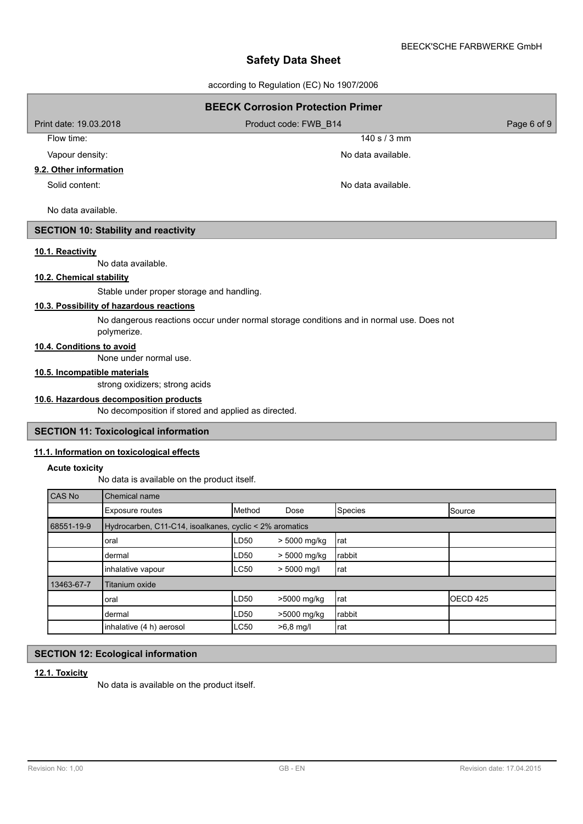according to Regulation (EC) No 1907/2006

| <b>BEECK Corrosion Protection Primer</b>    |                                      |  |  |  |  |  |
|---------------------------------------------|--------------------------------------|--|--|--|--|--|
| Print date: 19.03.2018                      | Page 6 of 9<br>Product code: FWB B14 |  |  |  |  |  |
| Flow time:                                  | 140 s $/$ 3 mm                       |  |  |  |  |  |
| Vapour density:                             | No data available.                   |  |  |  |  |  |
| 9.2. Other information                      |                                      |  |  |  |  |  |
| Solid content:                              | No data available.                   |  |  |  |  |  |
| No data available.                          |                                      |  |  |  |  |  |
| <b>SECTION 10: Stability and reactivity</b> |                                      |  |  |  |  |  |
| 10.1. Reactivity                            |                                      |  |  |  |  |  |

No data available.

# **10.2. Chemical stability**

Stable under proper storage and handling.

# **10.3. Possibility of hazardous reactions**

No dangerous reactions occur under normal storage conditions and in normal use. Does not polymerize.

# **10.4. Conditions to avoid**

None under normal use.

# **10.5. Incompatible materials**

strong oxidizers; strong acids

## **10.6. Hazardous decomposition products**

No decomposition if stored and applied as directed.

#### **SECTION 11: Toxicological information**

#### **11.1. Information on toxicological effects**

#### **Acute toxicity**

No data is available on the product itself.

| CAS No     | Chemical name                                           |             |               |                |                 |
|------------|---------------------------------------------------------|-------------|---------------|----------------|-----------------|
|            | <b>Exposure routes</b>                                  | Method      | Dose          | <b>Species</b> | <b>I</b> Source |
| 68551-19-9 | Hydrocarben, C11-C14, isoalkanes, cyclic < 2% aromatics |             |               |                |                 |
|            | oral                                                    | LD50        | > 5000 mg/kg  | rat            |                 |
|            | dermal                                                  | LD50        | > 5000 mg/kg  | rabbit         |                 |
|            | inhalative vapour                                       | <b>LC50</b> | $> 5000$ mg/l | rat            |                 |
| 13463-67-7 | Titanium oxide                                          |             |               |                |                 |
|            | oral                                                    | LD50        | >5000 mg/kg   | Irat           | IOECD 425       |
|            | dermal                                                  | LD50        | >5000 mg/kg   | rabbit         |                 |
|            | inhalative (4 h) aerosol                                | <b>LC50</b> | $>6,8$ mg/l   | rat            |                 |

# **SECTION 12: Ecological information**

### **12.1. Toxicity**

No data is available on the product itself.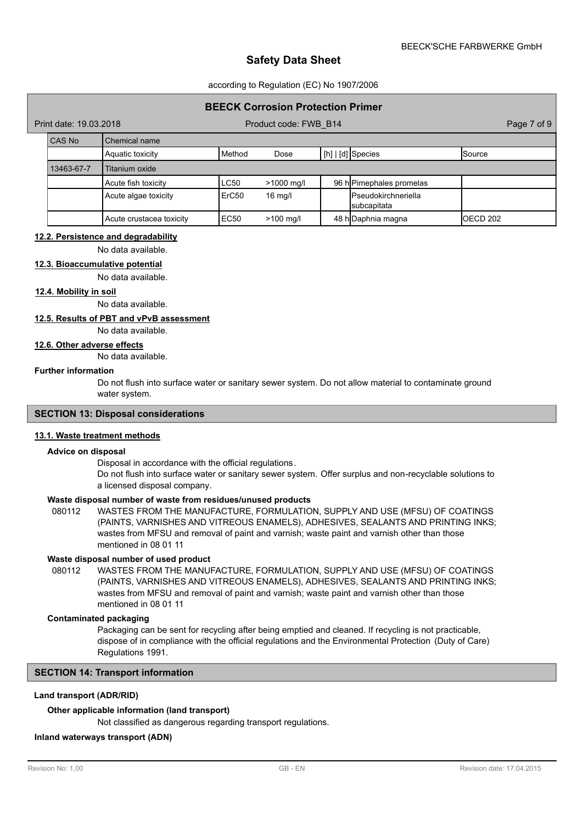#### according to Regulation (EC) No 1907/2006

### **BEECK Corrosion Protection Primer**

Product code: FWB\_B14 Product code:  $-19.3$ 

| CAS No     | l Chemical name          |          |              |                                                    |               |
|------------|--------------------------|----------|--------------|----------------------------------------------------|---------------|
|            | Aquatic toxicity         | l Method | Dose         | $\lfloor$ [h] $\lfloor$ [d] Species                | <b>Source</b> |
| 13463-67-7 | Titanium oxide           |          |              |                                                    |               |
|            | Acute fish toxicity      | LC50     | $>1000$ mg/l | 96 hPimephales promelas                            |               |
|            | Acute algae toxicity     | ErC50    | $16$ mg/l    | <b>I</b> Pseudokirchneriella<br><b>subcapitata</b> |               |
|            | Acute crustacea toxicity | EC50     | $>100$ mg/l  | 48 h Daphnia magna                                 | OECD 202      |

#### **12.2. Persistence and degradability**

No data available.

## **12.3. Bioaccumulative potential**

No data available.

#### **12.4. Mobility in soil**

No data available.

# **12.5. Results of PBT and vPvB assessment**

No data available.

# **12.6. Other adverse effects**

No data available.

#### **Further information**

Do not flush into surface water or sanitary sewer system. Do not allow material to contaminate ground water system.

# **SECTION 13: Disposal considerations**

#### **13.1. Waste treatment methods**

#### **Advice on disposal**

Disposal in accordance with the official regulations.

Do not flush into surface water or sanitary sewer system. Offer surplus and non-recyclable solutions to a licensed disposal company.

## **Waste disposal number of waste from residues/unused products**

080112 WASTES FROM THE MANUFACTURE, FORMULATION, SUPPLY AND USE (MFSU) OF COATINGS (PAINTS, VARNISHES AND VITREOUS ENAMELS), ADHESIVES, SEALANTS AND PRINTING INKS; wastes from MFSU and removal of paint and varnish; waste paint and varnish other than those mentioned in 08 01 11

## **Waste disposal number of used product**

WASTES FROM THE MANUFACTURE, FORMULATION, SUPPLY AND USE (MFSU) OF COATINGS (PAINTS, VARNISHES AND VITREOUS ENAMELS), ADHESIVES, SEALANTS AND PRINTING INKS; wastes from MFSU and removal of paint and varnish; waste paint and varnish other than those mentioned in 08 01 11 080112

#### **Contaminated packaging**

Packaging can be sent for recycling after being emptied and cleaned. If recycling is not practicable, dispose of in compliance with the official regulations and the Environmental Protection (Duty of Care) Regulations 1991.

### **SECTION 14: Transport information**

# **Land transport (ADR/RID)**

#### **Other applicable information (land transport)**

Not classified as dangerous regarding transport regulations.

## **Inland waterways transport (ADN)**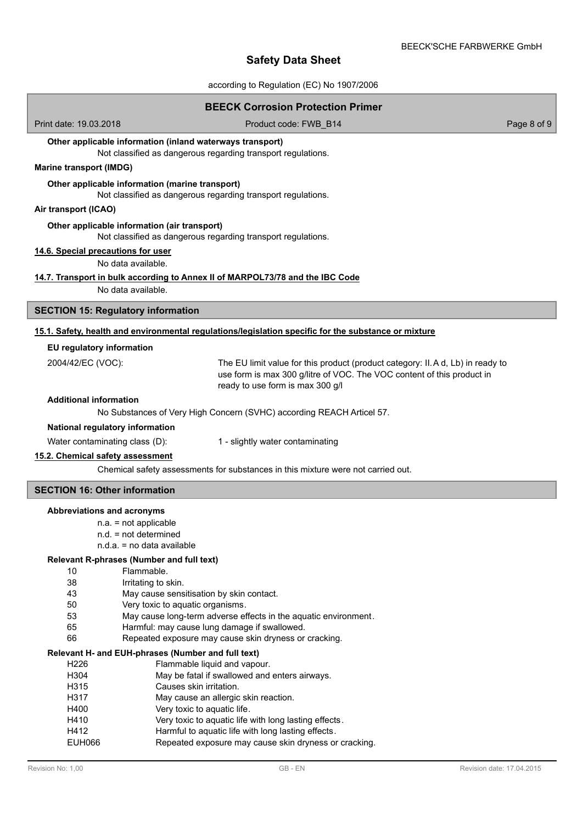according to Regulation (EC) No 1907/2006

|                                                                                                                  | <b>BEECK Corrosion Protection Primer</b>                                                                                                                                                     |             |
|------------------------------------------------------------------------------------------------------------------|----------------------------------------------------------------------------------------------------------------------------------------------------------------------------------------------|-------------|
| Print date: 19.03.2018                                                                                           | Product code: FWB_B14                                                                                                                                                                        | Page 8 of 9 |
| Other applicable information (inland waterways transport)                                                        | Not classified as dangerous regarding transport regulations.                                                                                                                                 |             |
| <b>Marine transport (IMDG)</b>                                                                                   |                                                                                                                                                                                              |             |
| Other applicable information (marine transport)                                                                  | Not classified as dangerous regarding transport regulations.                                                                                                                                 |             |
| Air transport (ICAO)                                                                                             |                                                                                                                                                                                              |             |
| Other applicable information (air transport)                                                                     | Not classified as dangerous regarding transport regulations.                                                                                                                                 |             |
| 14.6. Special precautions for user<br>No data available.                                                         |                                                                                                                                                                                              |             |
| 14.7. Transport in bulk according to Annex II of MARPOL73/78 and the IBC Code                                    |                                                                                                                                                                                              |             |
| No data available.                                                                                               |                                                                                                                                                                                              |             |
| <b>SECTION 15: Regulatory information</b>                                                                        |                                                                                                                                                                                              |             |
|                                                                                                                  | 15.1. Safety, health and environmental regulations/legislation specific for the substance or mixture                                                                                         |             |
| EU regulatory information                                                                                        |                                                                                                                                                                                              |             |
| 2004/42/EC (VOC):                                                                                                | The EU limit value for this product (product category: II.A d, Lb) in ready to<br>use form is max 300 g/litre of VOC. The VOC content of this product in<br>ready to use form is max 300 g/l |             |
| <b>Additional information</b>                                                                                    |                                                                                                                                                                                              |             |
|                                                                                                                  | No Substances of Very High Concern (SVHC) according REACH Articel 57.                                                                                                                        |             |
| National regulatory information                                                                                  |                                                                                                                                                                                              |             |
| Water contaminating class (D):                                                                                   | 1 - slightly water contaminating                                                                                                                                                             |             |
| 15.2. Chemical safety assessment                                                                                 | Chemical safety assessments for substances in this mixture were not carried out.                                                                                                             |             |
|                                                                                                                  |                                                                                                                                                                                              |             |
| <b>SECTION 16: Other information</b>                                                                             |                                                                                                                                                                                              |             |
| Abbreviations and acronyms<br>$n.a. = not applicable$<br>$n.d. = not determined$<br>$n.d.a. = no data available$ |                                                                                                                                                                                              |             |
| Relevant R-phrases (Number and full text)                                                                        |                                                                                                                                                                                              |             |
| Flammable.<br>10<br>38                                                                                           |                                                                                                                                                                                              |             |
| Irritating to skin.<br>43<br>May cause sensitisation by skin contact.                                            |                                                                                                                                                                                              |             |
| 50<br>Very toxic to aquatic organisms.                                                                           |                                                                                                                                                                                              |             |
| 53                                                                                                               | May cause long-term adverse effects in the aquatic environment.                                                                                                                              |             |
| 65<br>66                                                                                                         | Harmful: may cause lung damage if swallowed.<br>Repeated exposure may cause skin dryness or cracking.                                                                                        |             |
| Relevant H- and EUH-phrases (Number and full text)                                                               |                                                                                                                                                                                              |             |
| H226                                                                                                             | Flammable liquid and vapour.                                                                                                                                                                 |             |
| H304<br>H315<br>Causes skin irritation.                                                                          | May be fatal if swallowed and enters airways.                                                                                                                                                |             |
| H317                                                                                                             | May cause an allergic skin reaction.                                                                                                                                                         |             |
| H400<br>Very toxic to aquatic life.                                                                              |                                                                                                                                                                                              |             |
| H410                                                                                                             | Very toxic to aquatic life with long lasting effects.                                                                                                                                        |             |
| H412                                                                                                             | Harmful to aquatic life with long lasting effects.                                                                                                                                           |             |
| <b>EUH066</b>                                                                                                    | Repeated exposure may cause skin dryness or cracking.                                                                                                                                        |             |